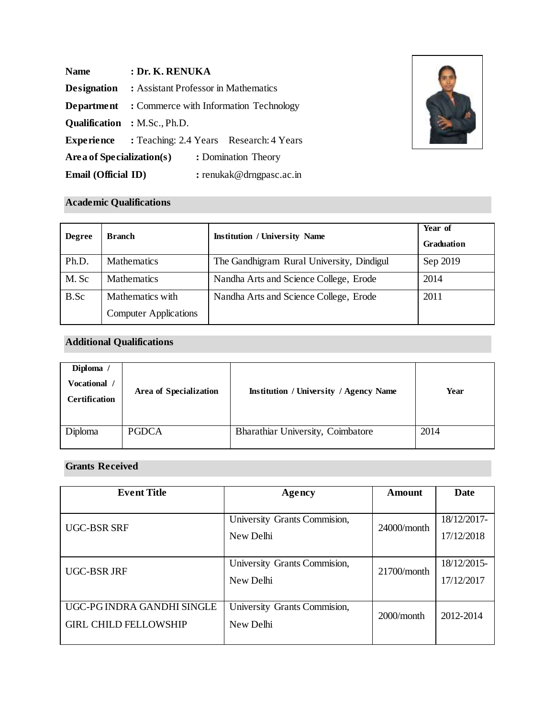| <b>Name</b>               | : Dr. K. RENUKA                      |  |                                                           |
|---------------------------|--------------------------------------|--|-----------------------------------------------------------|
| <b>Designation</b>        | : Assistant Professor in Mathematics |  |                                                           |
|                           |                                      |  | <b>Department</b> : Commerce with Information Technology  |
|                           | <b>Qualification</b> : M.Sc., Ph.D.  |  |                                                           |
|                           |                                      |  | <b>Experience</b> : Teaching: 2.4 Years Research: 4 Years |
| Area of Specialization(s) |                                      |  | : Domination Theory                                       |
| Email (Official ID)       |                                      |  | : renukak@drngpasc.ac.in                                  |



# **Academic Qualifications**

| <b>Degree</b> | <b>Branch</b>                | <b>Institution / University Name</b>      | Year of<br>Graduation |
|---------------|------------------------------|-------------------------------------------|-----------------------|
| Ph.D.         | Mathematics                  | The Gandhigram Rural University, Dindigul | Sep 2019              |
| M. Sc         | <b>Mathematics</b>           | Nandha Arts and Science College, Erode    | 2014                  |
| B.Sc          | Mathematics with             | Nandha Arts and Science College, Erode    | 2011                  |
|               | <b>Computer Applications</b> |                                           |                       |

# **Additional Qualifications**

| Diploma<br>Vocational<br><b>Certification</b> | <b>Area of Specialization</b> | <b>Institution / University / Agency Name</b> | Year |
|-----------------------------------------------|-------------------------------|-----------------------------------------------|------|
| Diploma                                       | <b>PGDCA</b>                  | Bharathiar University, Coimbatore             | 2014 |

## **Grants Received**

| <b>Event Title</b>           | Agency                       | Amount         | <b>Date</b> |
|------------------------------|------------------------------|----------------|-------------|
|                              |                              |                |             |
| UGC-BSR SRF                  | University Grants Commision, | $24000/m$ onth | 18/12/2017- |
|                              | New Delhi                    |                | 17/12/2018  |
|                              |                              |                |             |
|                              | University Grants Commision, | $21700/m$ onth | 18/12/2015- |
| UGC-BSR JRF                  | New Delhi                    |                | 17/12/2017  |
|                              |                              |                |             |
| UGC-PG INDRA GANDHI SINGLE   | University Grants Commision, | $2000/m$ onth  |             |
| <b>GIRL CHILD FELLOWSHIP</b> | New Delhi                    |                | 2012-2014   |
|                              |                              |                |             |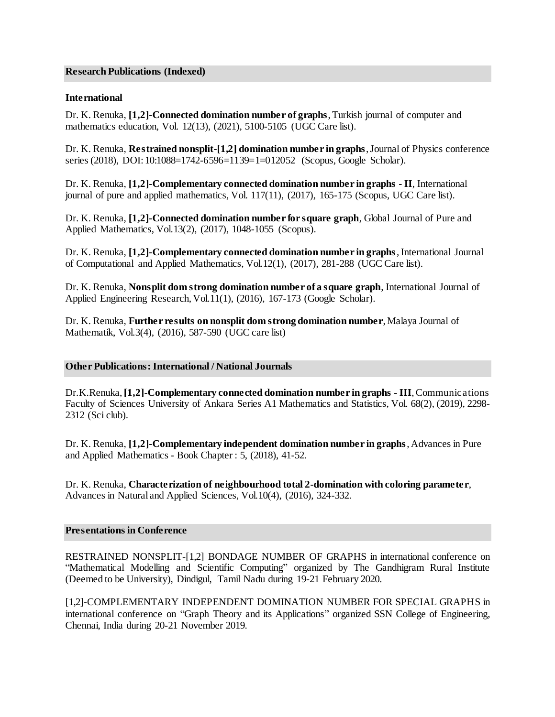### **Research Publications (Indexed)**

### **International**

Dr. K. Renuka, **[1,2]-Connected domination number of graphs**, Turkish journal of computer and mathematics education, Vol. 12(13), (2021), 5100-5105 (UGC Care list).

Dr. K. Renuka, **Restrained nonsplit-[1,2] domination number in graphs**, Journal of Physics conference series (2018), DOI: 10:1088=1742-6596=1139=1=012052 (Scopus, Google Scholar).

Dr. K. Renuka, **[1,2]-Complementary connected domination number in graphs - II**, International journal of pure and applied mathematics, Vol. 117(11), (2017), 165-175 (Scopus, UGC Care list).

Dr. K. Renuka, **[1,2]-Connected domination number for square graph**, Global Journal of Pure and Applied Mathematics, Vol.13(2), (2017), 1048-1055 (Scopus).

Dr. K. Renuka, **[1,2]-Complementary connected domination number in graphs**, International Journal of Computational and Applied Mathematics, Vol.12(1), (2017), 281-288 (UGC Care list).

Dr. K. Renuka, **Nonsplit dom strong domination number of a square graph**, International Journal of Applied Engineering Research, Vol.11(1), (2016), 167-173 (Google Scholar).

Dr. K. Renuka, **Further results on nonsplit dom strong domination number**, Malaya Journal of Mathematik, Vol.3(4), (2016), 587-590 (UGC care list)

#### **Other Publications: International / National Journals**

Dr.K.Renuka, **[1,2]-Complementary connected domination number in graphs - III**, Communications Faculty of Sciences University of Ankara Series A1 Mathematics and Statistics, Vol. 68(2), (2019), 2298- 2312 (Sci club).

Dr. K. Renuka, **[1,2]-Complementary independent domination number in graphs**, Advances in Pure and Applied Mathematics - Book Chapter : 5, (2018), 41-52.

Dr. K. Renuka, **Characterization of neighbourhood total 2-domination with coloring parameter**, Advances in Natural and Applied Sciences, Vol.10(4), (2016), 324-332.

#### **Presentations in Conference**

RESTRAINED NONSPLIT-[1,2] BONDAGE NUMBER OF GRAPHS in international conference on "Mathematical Modelling and Scientific Computing" organized by The Gandhigram Rural Institute (Deemed to be University), Dindigul, Tamil Nadu during 19-21 February 2020.

[1,2]-COMPLEMENTARY INDEPENDENT DOMINATION NUMBER FOR SPECIAL GRAPHS in international conference on "Graph Theory and its Applications" organized SSN College of Engineering, Chennai, India during 20-21 November 2019.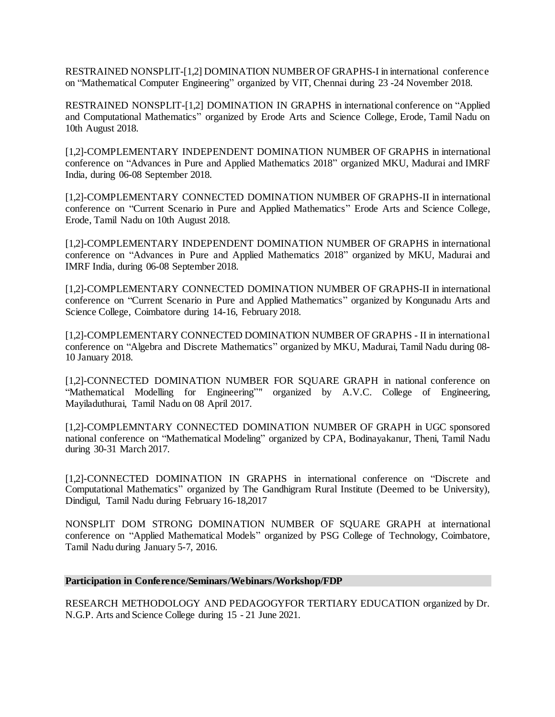RESTRAINED NONSPLIT-[1,2] DOMINATION NUMBER OF GRAPHS-I in international conference on "Mathematical Computer Engineering" organized by VIT, Chennai during 23 -24 November 2018.

RESTRAINED NONSPLIT-[1,2] DOMINATION IN GRAPHS in international conference on "Applied and Computational Mathematics" organized by Erode Arts and Science College, Erode, Tamil Nadu on 10th August 2018.

[1,2]-COMPLEMENTARY INDEPENDENT DOMINATION NUMBER OF GRAPHS in international conference on "Advances in Pure and Applied Mathematics 2018" organized MKU, Madurai and IMRF India, during 06-08 September 2018.

[1,2]-COMPLEMENTARY CONNECTED DOMINATION NUMBER OF GRAPHS-II in international conference on "Current Scenario in Pure and Applied Mathematics" Erode Arts and Science College, Erode, Tamil Nadu on 10th August 2018.

[1,2]-COMPLEMENTARY INDEPENDENT DOMINATION NUMBER OF GRAPHS in international conference on "Advances in Pure and Applied Mathematics 2018" organized by MKU, Madurai and IMRF India, during 06-08 September 2018.

[1,2]-COMPLEMENTARY CONNECTED DOMINATION NUMBER OF GRAPHS-II in international conference on "Current Scenario in Pure and Applied Mathematics" organized by Kongunadu Arts and Science College, Coimbatore during 14-16, February 2018.

[1,2]-COMPLEMENTARY CONNECTED DOMINATION NUMBER OF GRAPHS - II in international conference on "Algebra and Discrete Mathematics" organized by MKU, Madurai, Tamil Nadu during 08- 10 January 2018.

[1,2]-CONNECTED DOMINATION NUMBER FOR SQUARE GRAPH in national conference on "Mathematical Modelling for Engineering"" organized by A.V.C. College of Engineering, Mayiladuthurai, Tamil Nadu on 08 April 2017.

[1,2]-COMPLEMNTARY CONNECTED DOMINATION NUMBER OF GRAPH in UGC sponsored national conference on "Mathematical Modeling" organized by CPA, Bodinayakanur, Theni, Tamil Nadu during 30-31 March 2017.

[1,2]-CONNECTED DOMINATION IN GRAPHS in international conference on "Discrete and Computational Mathematics" organized by The Gandhigram Rural Institute (Deemed to be University), Dindigul, Tamil Nadu during February 16-18,2017

NONSPLIT DOM STRONG DOMINATION NUMBER OF SQUARE GRAPH at international conference on "Applied Mathematical Models" organized by PSG College of Technology, Coimbatore, Tamil Nadu during January 5-7, 2016.

### **Participation in Conference/Seminars/Webinars/Workshop/FDP**

RESEARCH METHODOLOGY AND PEDAGOGYFOR TERTIARY EDUCATION organized by Dr. N.G.P. Arts and Science College during 15 - 21 June 2021.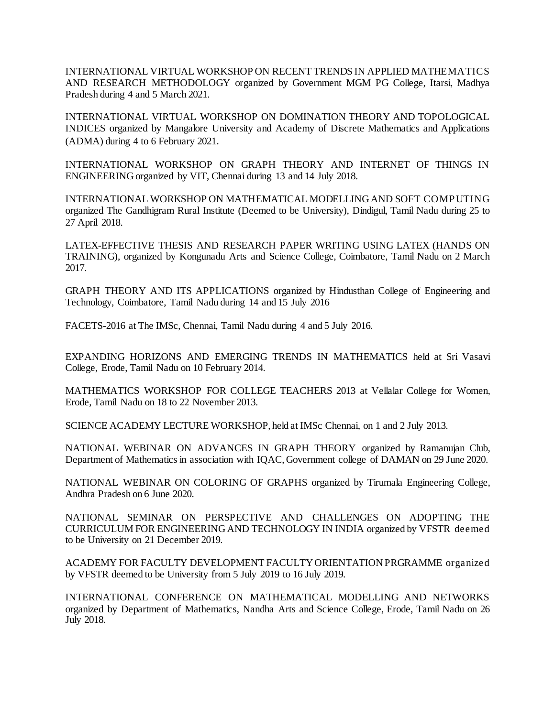INTERNATIONAL VIRTUAL WORKSHOP ON RECENT TRENDS IN APPLIED MATHEMATICS AND RESEARCH METHODOLOGY organized by Government MGM PG College, Itarsi, Madhya Pradesh during 4 and 5 March 2021.

INTERNATIONAL VIRTUAL WORKSHOP ON DOMINATION THEORY AND TOPOLOGICAL INDICES organized by Mangalore University and Academy of Discrete Mathematics and Applications (ADMA) during 4 to 6 February 2021.

INTERNATIONAL WORKSHOP ON GRAPH THEORY AND INTERNET OF THINGS IN ENGINEERING organized by VIT, Chennai during 13 and 14 July 2018.

INTERNATIONAL WORKSHOP ON MATHEMATICAL MODELLING AND SOFT COMPUTING organized The Gandhigram Rural Institute (Deemed to be University), Dindigul, Tamil Nadu during 25 to 27 April 2018.

LATEX-EFFECTIVE THESIS AND RESEARCH PAPER WRITING USING LATEX (HANDS ON TRAINING), organized by Kongunadu Arts and Science College, Coimbatore, Tamil Nadu on 2 March 2017.

GRAPH THEORY AND ITS APPLICATIONS organized by Hindusthan College of Engineering and Technology, Coimbatore, Tamil Nadu during 14 and 15 July 2016

FACETS-2016 at The IMSc, Chennai, Tamil Nadu during 4 and 5 July 2016.

EXPANDING HORIZONS AND EMERGING TRENDS IN MATHEMATICS held at Sri Vasavi College, Erode, Tamil Nadu on 10 February 2014.

MATHEMATICS WORKSHOP FOR COLLEGE TEACHERS 2013 at Vellalar College for Women, Erode, Tamil Nadu on 18 to 22 November 2013.

SCIENCE ACADEMY LECTURE WORKSHOP, held at IMSc Chennai, on 1 and 2 July 2013.

NATIONAL WEBINAR ON ADVANCES IN GRAPH THEORY organized by Ramanujan Club, Department of Mathematics in association with IQAC, Government college of DAMAN on 29 June 2020.

NATIONAL WEBINAR ON COLORING OF GRAPHS organized by Tirumala Engineering College, Andhra Pradesh on 6 June 2020.

NATIONAL SEMINAR ON PERSPECTIVE AND CHALLENGES ON ADOPTING THE CURRICULUM FOR ENGINEERING AND TECHNOLOGY IN INDIA organized by VFSTR deemed to be University on 21 December 2019.

ACADEMY FOR FACULTY DEVELOPMENT FACULTY ORIENTATION PRGRAMME organized by VFSTR deemed to be University from 5 July 2019 to 16 July 2019.

INTERNATIONAL CONFERENCE ON MATHEMATICAL MODELLING AND NETWORKS organized by Department of Mathematics, Nandha Arts and Science College, Erode, Tamil Nadu on 26 July 2018.